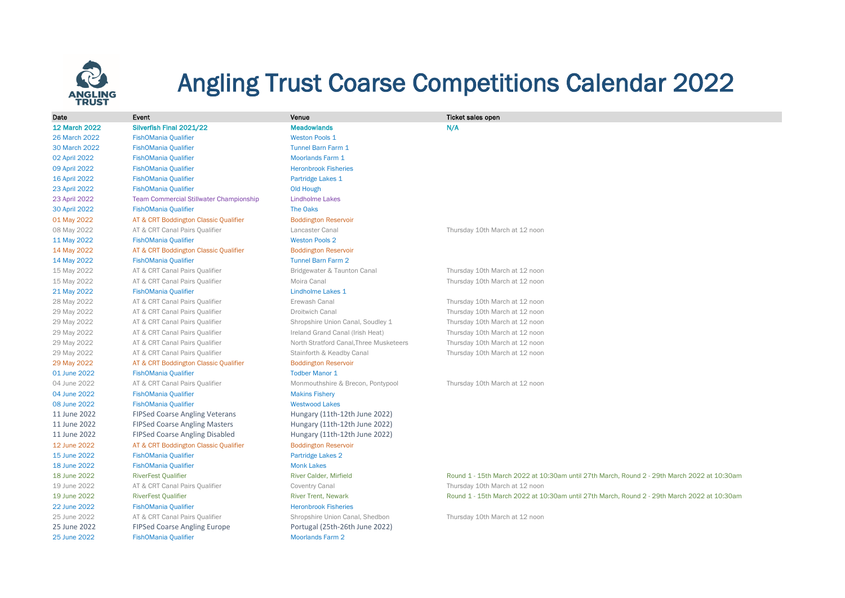

## Angling Trust Coarse Competitions Calendar 2022

| Date                 | Event                                          | Venue                                   | <b>Ticket sales open</b> |
|----------------------|------------------------------------------------|-----------------------------------------|--------------------------|
| <b>12 March 2022</b> | Silverfish Final 2021/22                       | <b>Meadowlands</b>                      | N/A                      |
| 26 March 2022        | <b>FishOMania Qualifier</b>                    | <b>Weston Pools 1</b>                   |                          |
| 30 March 2022        | <b>FishOMania Qualifier</b>                    | <b>Tunnel Barn Farm 1</b>               |                          |
| 02 April 2022        | <b>FishOMania Qualifier</b>                    | <b>Moorlands Farm 1</b>                 |                          |
| 09 April 2022        | <b>FishOMania Qualifier</b>                    | <b>Heronbrook Fisheries</b>             |                          |
| 16 April 2022        | <b>FishOMania Qualifier</b>                    | Partridge Lakes 1                       |                          |
| 23 April 2022        | <b>FishOMania Qualifier</b>                    | <b>Old Hough</b>                        |                          |
| 23 April 2022        | <b>Team Commercial Stillwater Championship</b> | <b>Lindholme Lakes</b>                  |                          |
| 30 April 2022        | <b>FishOMania Qualifier</b>                    | <b>The Oaks</b>                         |                          |
| 01 May 2022          | AT & CRT Boddington Classic Qualifier          | <b>Boddington Reservoir</b>             |                          |
| 08 May 2022          | AT & CRT Canal Pairs Qualifier                 | Lancaster Canal                         | Thursday 10th Ma         |
| 11 May 2022          | <b>FishOMania Qualifier</b>                    | <b>Weston Pools 2</b>                   |                          |
| 14 May 2022          | AT & CRT Boddington Classic Qualifier          | <b>Boddington Reservoir</b>             |                          |
| 14 May 2022          | <b>FishOMania Qualifier</b>                    | <b>Tunnel Barn Farm 2</b>               |                          |
| 15 May 2022          | AT & CRT Canal Pairs Qualifier                 | Bridgewater & Taunton Canal             | Thursday 10th Ma         |
| 15 May 2022          | AT & CRT Canal Pairs Qualifier                 | Moira Canal                             | Thursday 10th Ma         |
| 21 May 2022          | <b>FishOMania Qualifier</b>                    | Lindholme Lakes 1                       |                          |
| 28 May 2022          | AT & CRT Canal Pairs Qualifier                 | Erewash Canal                           | Thursday 10th Ma         |
| 29 May 2022          | AT & CRT Canal Pairs Qualifier                 | <b>Droitwich Canal</b>                  | Thursday 10th Ma         |
| 29 May 2022          | AT & CRT Canal Pairs Qualifier                 | Shropshire Union Canal, Soudley 1       | Thursday 10th Ma         |
| 29 May 2022          | AT & CRT Canal Pairs Qualifier                 | Ireland Grand Canal (Irish Heat)        | Thursday 10th Ma         |
| 29 May 2022          | AT & CRT Canal Pairs Qualifier                 | North Stratford Canal. Three Musketeers | Thursday 10th Ma         |
| 29 May 2022          | AT & CRT Canal Pairs Qualifier                 | Stainforth & Keadby Canal               | Thursday 10th Ma         |
| 29 May 2022          | AT & CRT Boddington Classic Qualifier          | <b>Boddington Reservoir</b>             |                          |
| 01 June 2022         | <b>FishOMania Qualifier</b>                    | <b>Todber Manor 1</b>                   |                          |
| 04 June 2022         | AT & CRT Canal Pairs Qualifier                 | Monmouthshire & Brecon, Pontypool       | Thursday 10th Ma         |
| 04 June 2022         | <b>FishOMania Qualifier</b>                    | <b>Makins Fishery</b>                   |                          |
| 08 June 2022         | <b>FishOMania Qualifier</b>                    | <b>Westwood Lakes</b>                   |                          |
| 11 June 2022         | <b>FIPSed Coarse Angling Veterans</b>          | Hungary (11th-12th June 2022)           |                          |
| 11 June 2022         | <b>FIPSed Coarse Angling Masters</b>           | Hungary (11th-12th June 2022)           |                          |
| 11 June 2022         | <b>FIPSed Coarse Angling Disabled</b>          | Hungary (11th-12th June 2022)           |                          |
| 12 June 2022         | AT & CRT Boddington Classic Qualifier          | <b>Boddington Reservoir</b>             |                          |
| 15 June 2022         | <b>FishOMania Qualifier</b>                    | Partridge Lakes 2                       |                          |
| 18 June 2022         | <b>FishOMania Qualifier</b>                    | <b>Monk Lakes</b>                       |                          |
| 18 June 2022         | <b>RiverFest Qualifier</b>                     | River Calder, Mirfield                  | Round 1 - 15th Ma        |
| 19 June 2022         | AT & CRT Canal Pairs Qualifier                 | Coventry Canal                          | Thursday 10th Ma         |
| 19 June 2022         | <b>RiverFest Qualifier</b>                     | <b>River Trent, Newark</b>              | Round 1 - 15th Ma        |
| 22 June 2022         | <b>FishOMania Qualifier</b>                    | <b>Heronbrook Fisheries</b>             |                          |
| 25 June 2022         | AT & CRT Canal Pairs Qualifier                 | Shropshire Union Canal, Shedbon         | Thursday 10th Ma         |
| 25 June 2022         | <b>FIPSed Coarse Angling Europe</b>            | Portugal (25th-26th June 2022)          |                          |
| 25 June 2022         | <b>FishOMania Qualifier</b>                    | <b>Moorlands Farm 2</b>                 |                          |

12 March 2022 Silverfish Final 2021/22 Meadowlands N/A 08 May 2022 AT & CRT Canal Pairs Qualifier Lancaster Canal Lancaster Canal Thursday 10th March at 12 noon 15 May 2022 AT & CRT Canal Pairs Qualifier Bridgewater & Taunton Canal Thursday 10th March at 12 noon 15 May 2022 AT & CRT Canal Pairs Qualifier Moira Canal Moira Canal Thursday 10th March at 12 noon 28 May 2022 AT & CRT Canal Pairs Qualifier **Erewash Canal Canal Canal Thursday 10th March at 12 noon** 29 May 2022 AT & CRT Canal Pairs Qualifier Droitwich Canal Thursday 10th March at 12 noon 29 May 2022 AT & CRT Canal Pairs Qualifier Shropshire Union Canal, Soudley 1 Thursday 10th March at 12 noon 29 May 2022 AT & CRT Canal Pairs Qualifier Ireland Grand Canal (Irish Heat) Thursday 10th March at 12 noon 29 May 2022 AT & CRT Canal Pairs Qualifier North Stratford Canal, Three Musketeers Thursday 10th March at 12 noon 29 May 2022 AT & CRT Canal Pairs Qualifier Stainforth & Keadby Canal Thursday 10th March at 12 noon 04 June 2022 AT & CRT Canal Pairs Qualifier Monmouthshire & Brecon, Pontypool Thursday 10th March at 12 noon 19 June 2022 AT & CRT Canal Pairs Qualifier Coventry Canal Thursday 10th March at 12 noon 19 June 2022 RiverFest Qualifier River Trent, Newark Round 1 - 15th March 2022 at 10:30am until 27th March, Round 2 - 29th March 2022 at 10:30am 25 June 2022 AT & CRT Canal Pairs Qualifier Shropshire Union Canal, Shedbon Thursday 10th March at 12 noon

18 June 2022 RiverFest Qualifier River Calder, Mirfield Round 1 - 15th March 2022 at 10:30am until 27th March, Round 2 - 29th March 2022 at 10:30am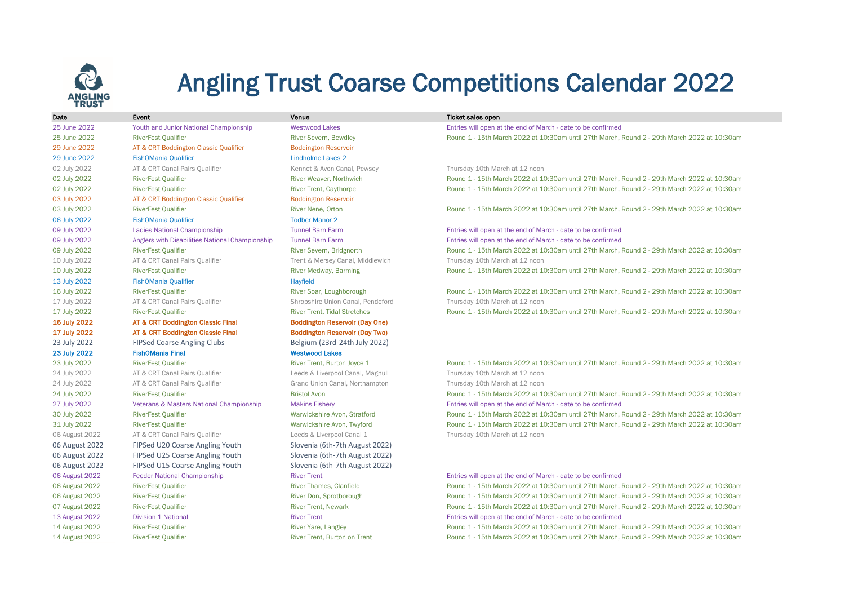

## Angling Trust Coarse Competitions Calendar 2022

| Date                  | Event                                               | Venue                                 | Ticket sales open                                            |
|-----------------------|-----------------------------------------------------|---------------------------------------|--------------------------------------------------------------|
| 25 June 2022          | Youth and Junior National Championship              | <b>Westwood Lakes</b>                 | Entries will open at the end of March - date to be confirmed |
| 25 June 2022          | <b>RiverFest Qualifier</b>                          | <b>River Severn, Bewdley</b>          | Round 1 - 15th March 2022 at 10:30am until 27th March,       |
| 29 June 2022          | AT & CRT Boddington Classic Qualifier               | <b>Boddington Reservoir</b>           |                                                              |
| 29 June 2022          | <b>FishOMania Qualifier</b>                         | <b>Lindholme Lakes 2</b>              |                                                              |
| 02 July 2022          | AT & CRT Canal Pairs Qualifier                      | Kennet & Avon Canal, Pewsey           | Thursday 10th March at 12 noon                               |
| 02 July 2022          | <b>RiverFest Qualifier</b>                          | River Weaver, Northwich               | Round 1 - 15th March 2022 at 10:30am until 27th March,       |
| 02 July 2022          | <b>RiverFest Qualifier</b>                          | <b>River Trent, Caythorpe</b>         | Round 1 - 15th March 2022 at 10:30am until 27th March,       |
| 03 July 2022          | AT & CRT Boddington Classic Qualifier               | <b>Boddington Reservoir</b>           |                                                              |
| 03 July 2022          | <b>RiverFest Qualifier</b>                          | River Nene, Orton                     | Round 1 - 15th March 2022 at 10:30am until 27th March,       |
| 06 July 2022          | <b>FishOMania Qualifier</b>                         | <b>Todber Manor 2</b>                 |                                                              |
| 09 July 2022          | Ladies National Championship                        | <b>Tunnel Barn Farm</b>               | Entries will open at the end of March - date to be confirmed |
| 09 July 2022          | Anglers with Disabilities National Championship     | <b>Tunnel Barn Farm</b>               | Entries will open at the end of March - date to be confirmed |
| 09 July 2022          | <b>RiverFest Qualifier</b>                          | River Severn, Bridgnorth              | Round 1 - 15th March 2022 at 10:30am until 27th March,       |
| 10 July 2022          | AT & CRT Canal Pairs Qualifier                      | Trent & Mersey Canal, Middlewich      | Thursday 10th March at 12 noon                               |
| 10 July 2022          | <b>RiverFest Qualifier</b>                          | River Medway, Barming                 | Round 1 - 15th March 2022 at 10:30am until 27th March,       |
| 13 July 2022          | <b>FishOMania Qualifier</b>                         | Hayfield                              |                                                              |
| 16 July 2022          | <b>RiverFest Qualifier</b>                          | River Soar, Loughborough              | Round 1 - 15th March 2022 at 10:30am until 27th March,       |
| 17 July 2022          | AT & CRT Canal Pairs Qualifier                      | Shropshire Union Canal, Pendeford     | Thursday 10th March at 12 noon                               |
| 17 July 2022          | <b>RiverFest Qualifier</b>                          | <b>River Trent. Tidal Stretches</b>   | Round 1 - 15th March 2022 at 10:30am until 27th March.       |
| <b>16 July 2022</b>   | <b>AT &amp; CRT Boddington Classic Final</b>        | <b>Boddington Reservoir (Day One)</b> |                                                              |
| 17 July 2022          | <b>AT &amp; CRT Boddington Classic Final</b>        | <b>Boddington Reservoir (Day Two)</b> |                                                              |
| 23 July 2022          | <b>FIPSed Coarse Angling Clubs</b>                  | Belgium (23rd-24th July 2022)         |                                                              |
| 23 July 2022          | <b>FishOMania Final</b>                             | <b>Westwood Lakes</b>                 |                                                              |
| 23 July 2022          | <b>RiverFest Qualifier</b>                          | River Trent, Burton Joyce 1           | Round 1 - 15th March 2022 at 10:30am until 27th March,       |
| 24 July 2022          | AT & CRT Canal Pairs Qualifier                      | Leeds & Liverpool Canal, Maghull      | Thursday 10th March at 12 noon                               |
| 24 July 2022          | AT & CRT Canal Pairs Qualifier                      | Grand Union Canal, Northampton        | Thursday 10th March at 12 noon                               |
| 24 July 2022          | <b>RiverFest Qualifier</b>                          | <b>Bristol Avon</b>                   | Round 1 - 15th March 2022 at 10:30am until 27th March,       |
| 27 July 2022          | <b>Veterans &amp; Masters National Championship</b> | <b>Makins Fishery</b>                 | Entries will open at the end of March - date to be confirmed |
| 30 July 2022          | <b>RiverFest Qualifier</b>                          | Warwickshire Avon, Stratford          | Round 1 - 15th March 2022 at 10:30am until 27th March,       |
| 31 July 2022          | <b>RiverFest Qualifier</b>                          | Warwickshire Avon, Twyford            | Round 1 - 15th March 2022 at 10:30am until 27th March,       |
| 06 August 2022        | AT & CRT Canal Pairs Qualifier                      | Leeds & Liverpool Canal 1             | Thursday 10th March at 12 noon                               |
| 06 August 2022        | FIPSed U20 Coarse Angling Youth                     | Slovenia (6th-7th August 2022)        |                                                              |
| 06 August 2022        | FIPSed U25 Coarse Angling Youth                     | Slovenia (6th-7th August 2022)        |                                                              |
| 06 August 2022        | FIPSed U15 Coarse Angling Youth                     | Slovenia (6th-7th August 2022)        |                                                              |
| 06 August 2022        | <b>Feeder National Championship</b>                 | <b>River Trent</b>                    | Entries will open at the end of March - date to be confirmed |
| 06 August 2022        | <b>RiverFest Qualifier</b>                          | <b>River Thames, Clanfield</b>        | Round 1 - 15th March 2022 at 10:30am until 27th March.       |
| 06 August 2022        | <b>RiverFest Qualifier</b>                          | River Don, Sprotborough               | Round 1 - 15th March 2022 at 10:30am until 27th March,       |
| 07 August 2022        | <b>RiverFest Qualifier</b>                          | <b>River Trent, Newark</b>            | Round 1 - 15th March 2022 at 10:30am until 27th March,       |
| <b>13 August 2022</b> | <b>Division 1 National</b>                          | <b>River Trent</b>                    | Entries will open at the end of March - date to be confirmed |
| <b>14 August 2022</b> | <b>RiverFest Qualifier</b>                          | River Yare, Langley                   | Round 1 - 15th March 2022 at 10:30am until 27th March,       |

25 June 2022 RiverFest Qualifier River Severn, Bewdley Round 1 - 15th March 2022 at 10:30am until 27th March, Round 2 - 29th March 2022 at 10:30am

02 July 2022 RiverFest Qualifier The River Weaver, Northwich River Weaver, Northwich Round 1 - 15th March 2022 at 10:30am until 27th March, Round 2 - 29th March 2022 at 10:30am 02 July 2022 RiverFest Qualifier Trent, Caythorpe River Trent, Caythorpe Round 1 - 15th March 2022 at 10:30am until 27th March, Round 2 - 29th March 2022 at 10:30am

03 July 2022 RiverFest Qualifier River Nene, Orton River Nene, Orton Round 1 - 15th March 2022 at 10:30am until 27th March, Round 2 - 29th March 2022 at 10:30am

09 July 2022 Anglers with Disabilities National Championship Tunnel Barn Farm Entries will open at the end of March - date to be confirmed 09 July 2022 RiverFest Qualifier The River Severn, Bridgnorth River Severn, Bridgnorth Round 1 - 15th March 2022 at 10:30am until 27th March, Round 2 - 29th March 2022 at 10:30am 10 July 2022 RiverFest Qualifier River Medway, Barming Round 1 - 15th March 2022 at 10:30am until 27th March, Round 2 - 29th March 2022 at 10:30am

16 July 2022 RiverFest Qualifier River Soar, Loughborough Round 1 - 15th March 2022 at 10:30am until 27th March, Round 2 - 29th March 2022 at 10:30am 17 July 2022 RiverFest Qualifier River Trent, Tidal Stretches Round 1 - 15th March 2022 at 10:30am until 27th March, Round 2 - 29th March 2022 at 10:30am

23 July 2022 RiverFest Qualifier River Trent, Burton Joyce 1 Round 1 - 15th March 2022 at 10:30am until 27th March, Round 2 - 29th March 2022 at 10:30am 24 July 2022 RiverFest Qualifier Bristol Avon Round 1 - 15th March 2022 at 10:30am until 27th March, Round 2 - 29th March 2022 at 10:30am 27 July 2022 Veterans & Masters National Championship Makins Fishery Entries will open at the end of March - date to be confirmed 30 July 2022 RiverFest Qualifier Warwickshire Avon, Stratford Round 1 - 15th March 2022 at 10:30am until 27th March, Round 2 - 29th March 2022 at 10:30am

31 July 2022 RiverFest Qualifier Warwickshire Avon, Twyford Round 1 - 15th March 2022 at 10:30am until 27th March, Round 2 - 29th March 2022 at 10:30am

06 August 2022 RiverFest Qualifier River Thames, Clanfield River Thames, Clanfield Round 1 - 15th March 2022 at 10:30am until 27th March, Round 2 - 29th March 2022 at 10:30am 06 August 2022 RiverFest Qualifier River Don, Sprotborough River Don, Sprotborough Round 1 - 15th March 2022 at 10:30am until 27th March, Round 2 - 29th March 2022 at 10:30am 07 August 2022 RiverFest Qualifier River Trent, Newark River Trent, Newark Round 1 - 15th March 2022 at 10:30am until 27th March, Round 2 - 29th March 2022 at 10:30am 13 August 2022 Division 1 National River Trent Entries will open at the end of March - date to be confirmed

14 August 2022 RiverFest Qualifier River Yare, Langley Round 1 - 15th March 2022 at 10:30am until 27th March, Round 2 - 29th March 2022 at 10:30am 14 August 2022 RiverFest Qualifier River Trent, Burton on Trent Round 1 - 15th March 2022 at 10:30am until 27th March, Round 2 - 29th March 2022 at 10:30am